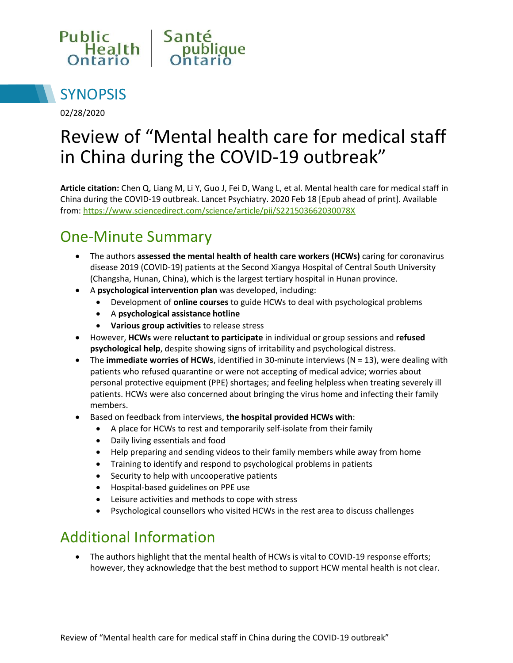



02/28/2020

# Review of "Mental health care for medical staff in China during the COVID-19 outbreak"

**Article citation:** Chen Q, Liang M, Li Y, Guo J, Fei D, Wang L, et al. Mental health care for medical staff in China during the COVID-19 outbreak. Lancet Psychiatry. 2020 Feb 18 [Epub ahead of print]. Available from:<https://www.sciencedirect.com/science/article/pii/S221503662030078X>

# One-Minute Summary

- The authors **assessed the mental health of health care workers (HCWs)** caring for coronavirus disease 2019 (COVID-19) patients at the Second Xiangya Hospital of Central South University (Changsha, Hunan, China), which is the largest tertiary hospital in Hunan province.
- A **psychological intervention plan** was developed, including:
	- Development of **online courses** to guide HCWs to deal with psychological problems
	- A **psychological assistance hotline**
	- **Various group activities** to release stress
- However, **HCWs** were **reluctant to participate** in individual or group sessions and **refused psychological help**, despite showing signs of irritability and psychological distress.
- The **immediate worries of HCWs**, identified in 30-minute interviews (N = 13), were dealing with patients who refused quarantine or were not accepting of medical advice; worries about personal protective equipment (PPE) shortages; and feeling helpless when treating severely ill patients. HCWs were also concerned about bringing the virus home and infecting their family members.
- Based on feedback from interviews, **the hospital provided HCWs with**:
	- A place for HCWs to rest and temporarily self-isolate from their family
	- Daily living essentials and food
	- Help preparing and sending videos to their family members while away from home
	- Training to identify and respond to psychological problems in patients
	- Security to help with uncooperative patients
	- Hospital-based guidelines on PPE use
	- Leisure activities and methods to cope with stress
	- Psychological counsellors who visited HCWs in the rest area to discuss challenges

#### Additional Information

• The authors highlight that the mental health of HCWs is vital to COVID-19 response efforts; however, they acknowledge that the best method to support HCW mental health is not clear.